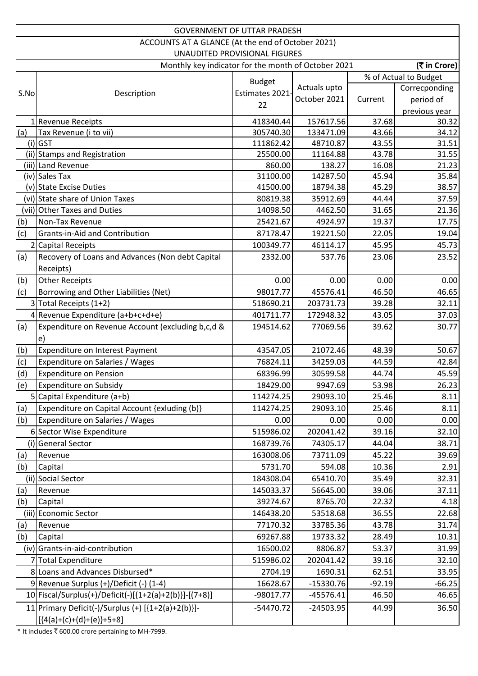| <b>GOVERNMENT OF UTTAR PRADESH</b> |                                                          |                               |              |          |                       |
|------------------------------------|----------------------------------------------------------|-------------------------------|--------------|----------|-----------------------|
|                                    | ACCOUNTS AT A GLANCE (At the end of October 2021)        |                               |              |          |                       |
|                                    |                                                          | UNAUDITED PROVISIONAL FIGURES |              |          |                       |
|                                    | Monthly key indicator for the month of October 2021      |                               |              |          | (₹ in Crore)          |
|                                    |                                                          |                               |              |          | % of Actual to Budget |
|                                    |                                                          | <b>Budget</b>                 | Actuals upto |          | Correcponding         |
| S.No                               | Description                                              | Estimates 2021                | October 2021 | Current  | period of             |
|                                    |                                                          | 22                            |              |          | previous year         |
|                                    | 1 Revenue Receipts                                       | 418340.44                     | 157617.56    | 37.68    | 30.32                 |
| (a)                                | Tax Revenue (i to vii)                                   | 305740.30                     | 133471.09    | 43.66    | 34.12                 |
|                                    | $(i)$ GST                                                | 111862.42                     | 48710.87     | 43.55    | 31.51                 |
|                                    | (ii) Stamps and Registration                             | 25500.00                      | 11164.88     | 43.78    | 31.55                 |
|                                    | (iii) Land Revenue                                       | 860.00                        | 138.27       | 16.08    | 21.23                 |
|                                    | (iv) Sales Tax                                           | 31100.00                      | 14287.50     | 45.94    | 35.84                 |
|                                    | (v) State Excise Duties                                  | 41500.00                      | 18794.38     | 45.29    | 38.57                 |
|                                    | (vi) State share of Union Taxes                          | 80819.38                      | 35912.69     | 44.44    | 37.59                 |
|                                    | (vii) Other Taxes and Duties                             | 14098.50                      | 4462.50      | 31.65    | 21.36                 |
| (b)                                | Non-Tax Revenue                                          | 25421.67                      | 4924.97      | 19.37    | 17.75                 |
| (c)                                | <b>Grants-in-Aid and Contribution</b>                    | 87178.47                      | 19221.50     | 22.05    | 19.04                 |
|                                    | 2 Capital Receipts                                       | 100349.77                     | 46114.17     | 45.95    | 45.73                 |
| (a)                                | Recovery of Loans and Advances (Non debt Capital         | 2332.00                       | 537.76       | 23.06    | 23.52                 |
|                                    | Receipts)                                                |                               |              |          |                       |
| (b)                                | <b>Other Receipts</b>                                    | 0.00                          | 0.00         | 0.00     | 0.00                  |
| (c)                                | Borrowing and Other Liabilities (Net)                    | 98017.77                      | 45576.41     | 46.50    | 46.65                 |
|                                    | 3 Total Receipts (1+2)                                   | 518690.21                     | 203731.73    | 39.28    | 32.11                 |
|                                    | 4 Revenue Expenditure (a+b+c+d+e)                        | 401711.77                     | 172948.32    | 43.05    | 37.03                 |
| (a)                                | Expenditure on Revenue Account (excluding b,c,d &        | 194514.62                     | 77069.56     | 39.62    | 30.77                 |
|                                    | e)                                                       |                               |              |          |                       |
| (b)                                | Expenditure on Interest Payment                          | 43547.05                      | 21072.46     | 48.39    | 50.67                 |
| (c)                                | Expenditure on Salaries / Wages                          | 76824.11                      | 34259.03     | 44.59    | 42.84                 |
| (d)                                | Expenditure on Pension                                   | 68396.99                      | 30599.58     | 44.74    | 45.59                 |
| (e)                                | Expenditure on Subsidy                                   | 18429.00                      | 9947.69      | 53.98    | 26.23                 |
|                                    | 5 Capital Expenditure (a+b)                              | 114274.25                     | 29093.10     | 25.46    | 8.11                  |
| (a)                                | Expenditure on Capital Account {exluding (b)}            | 114274.25                     | 29093.10     | 25.46    | 8.11                  |
| (b)                                | <b>Expenditure on Salaries / Wages</b>                   | 0.00                          | 0.00         | 0.00     | 0.00                  |
|                                    | 6 Sector Wise Expenditure                                | 515986.02                     | 202041.42    | 39.16    | 32.10                 |
| (i)                                | <b>General Sector</b>                                    | 168739.76                     | 74305.17     | 44.04    | 38.71                 |
| (a)                                | Revenue                                                  | 163008.06                     | 73711.09     | 45.22    | 39.69                 |
| (b)                                | Capital                                                  | 5731.70                       | 594.08       | 10.36    | 2.91                  |
|                                    | (ii) Social Sector                                       | 184308.04                     | 65410.70     | 35.49    | 32.31                 |
|                                    |                                                          | 145033.37                     | 56645.00     | 39.06    | 37.11                 |
| (a)                                | Revenue                                                  |                               |              | 22.32    |                       |
| (b)                                | Capital                                                  | 39274.67                      | 8765.70      |          | 4.18                  |
|                                    | (iii) Economic Sector                                    | 146438.20                     | 53518.68     | 36.55    | 22.68                 |
| (a)                                | Revenue                                                  | 77170.32                      | 33785.36     | 43.78    | 31.74                 |
| (b)                                | Capital                                                  | 69267.88                      | 19733.32     | 28.49    | 10.31                 |
|                                    | (iv) Grants-in-aid-contribution                          | 16500.02                      | 8806.87      | 53.37    | 31.99                 |
|                                    | 7 Total Expenditure                                      | 515986.02                     | 202041.42    | 39.16    | 32.10                 |
|                                    | 8 Loans and Advances Disbursed*                          | 2704.19                       | 1690.31      | 62.51    | 33.95                 |
|                                    | 9 Revenue Surplus (+)/Deficit (-) (1-4)                  | 16628.67                      | $-15330.76$  | $-92.19$ | $-66.25$              |
|                                    | 10   Fiscal/Surplus(+)/Deficit(-)[{1+2(a)+2(b)}]-[(7+8)] | -98017.77                     | $-45576.41$  | 46.50    | 46.65                 |
|                                    | 11 Primary Deficit(-)/Surplus (+) $[{1+2(a)+2(b)}]$ -    | $-54470.72$                   | $-24503.95$  | 44.99    | 36.50                 |
|                                    | $[(4(a)+(c)+(d)+(e))+5+8]$                               |                               |              |          |                       |

\* It includes  $\bar{t}$  600.00 crore pertaining to MH-7999.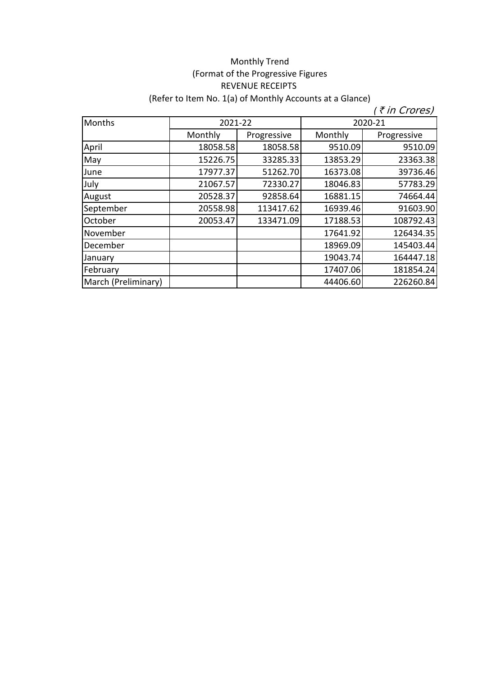## Monthly Trend (Format of the Progressive Figures REVENUE RECEIPTS (Refer to Item No. 1(a) of Monthly Accounts at a Glance)

| Months              |          | 2021-22     |          | 2020-21     |
|---------------------|----------|-------------|----------|-------------|
|                     | Monthly  | Progressive | Monthly  | Progressive |
| April               | 18058.58 | 18058.58    | 9510.09  | 9510.09     |
| May                 | 15226.75 | 33285.33    | 13853.29 | 23363.38    |
| June                | 17977.37 | 51262.70    | 16373.08 | 39736.46    |
| July                | 21067.57 | 72330.27    | 18046.83 | 57783.29    |
| August              | 20528.37 | 92858.64    | 16881.15 | 74664.44    |
| September           | 20558.98 | 113417.62   | 16939.46 | 91603.90    |
| October             | 20053.47 | 133471.09   | 17188.53 | 108792.43   |
| November            |          |             | 17641.92 | 126434.35   |
| December            |          |             | 18969.09 | 145403.44   |
| January             |          |             | 19043.74 | 164447.18   |
| February            |          |             | 17407.06 | 181854.24   |
| March (Preliminary) |          |             | 44406.60 | 226260.84   |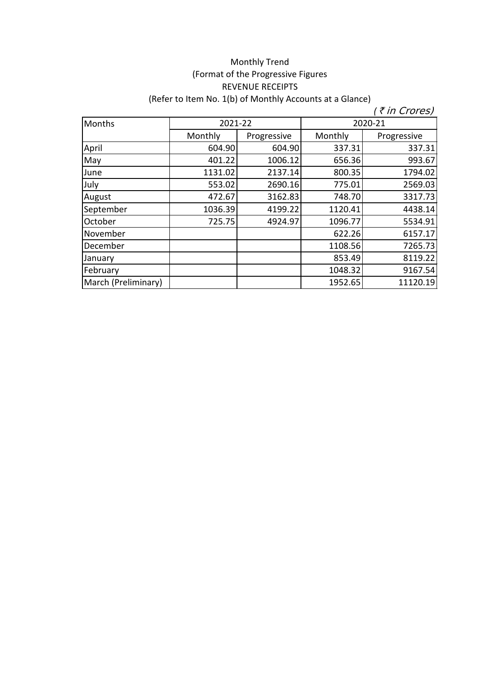## (Format of the Progressive Figures REVENUE RECEIPTS (Refer to Item No. 1(b) of Monthly Accounts at a Glance) Monthly Trend

| Months              |         | 2021-22     |         | 2020-21     |
|---------------------|---------|-------------|---------|-------------|
|                     | Monthly | Progressive | Monthly | Progressive |
| April               | 604.90  | 604.90      | 337.31  | 337.31      |
| May                 | 401.22  | 1006.12     | 656.36  | 993.67      |
| June                | 1131.02 | 2137.14     | 800.35  | 1794.02     |
| July                | 553.02  | 2690.16     | 775.01  | 2569.03     |
| August              | 472.67  | 3162.83     | 748.70  | 3317.73     |
| September           | 1036.39 | 4199.22     | 1120.41 | 4438.14     |
| October             | 725.75  | 4924.97     | 1096.77 | 5534.91     |
| November            |         |             | 622.26  | 6157.17     |
| December            |         |             | 1108.56 | 7265.73     |
| January             |         |             | 853.49  | 8119.22     |
| February            |         |             | 1048.32 | 9167.54     |
| March (Preliminary) |         |             | 1952.65 | 11120.19    |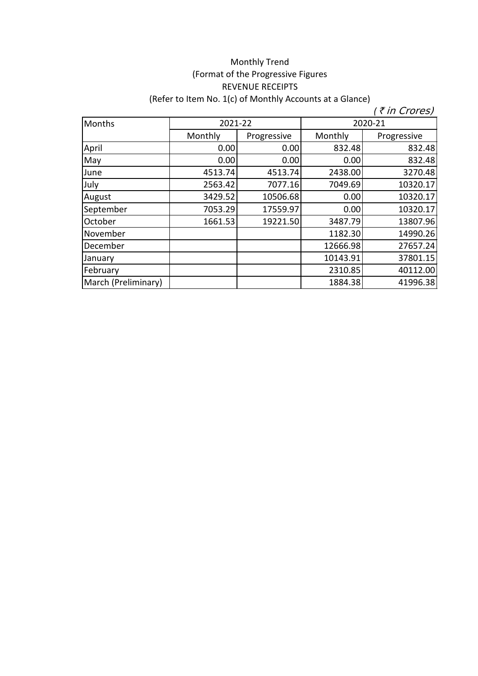## Monthly Trend (Format of the Progressive Figures REVENUE RECEIPTS (Refer to Item No. 1(c) of Monthly Accounts at a Glance)

| Months              | 2021-22<br>2020-21 |             |          |             |
|---------------------|--------------------|-------------|----------|-------------|
|                     | Monthly            | Progressive | Monthly  | Progressive |
| April               | 0.00               | 0.00        | 832.48   | 832.48      |
| May                 | 0.00               | 0.00        | 0.00     | 832.48      |
| June                | 4513.74            | 4513.74     | 2438.00  | 3270.48     |
| July                | 2563.42            | 7077.16     | 7049.69  | 10320.17    |
| August              | 3429.52            | 10506.68    | 0.00     | 10320.17    |
| September           | 7053.29            | 17559.97    | 0.00     | 10320.17    |
| October             | 1661.53            | 19221.50    | 3487.79  | 13807.96    |
| November            |                    |             | 1182.30  | 14990.26    |
| December            |                    |             | 12666.98 | 27657.24    |
| January             |                    |             | 10143.91 | 37801.15    |
| February            |                    |             | 2310.85  | 40112.00    |
| March (Preliminary) |                    |             | 1884.38  | 41996.38    |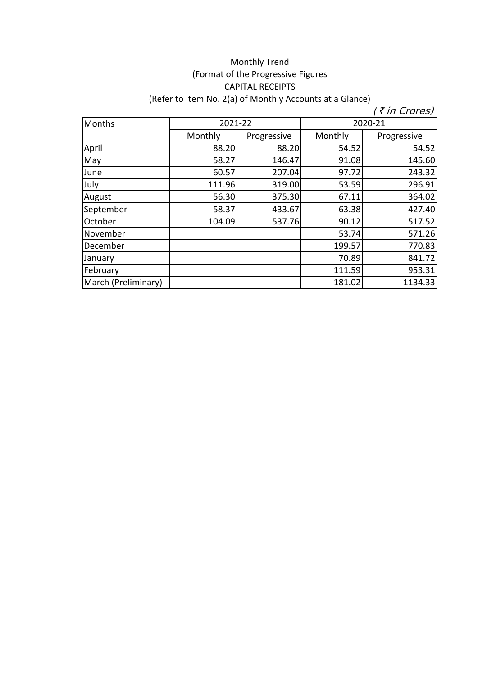## Monthly Trend (Format of the Progressive Figures CAPITAL RECEIPTS (Refer to Item No. 2(a) of Monthly Accounts at a Glance)

| Months              | 2021-22 |             | 2020-21 |             |
|---------------------|---------|-------------|---------|-------------|
|                     | Monthly | Progressive | Monthly | Progressive |
| April               | 88.20   | 88.20       | 54.52   | 54.52       |
| May                 | 58.27   | 146.47      | 91.08   | 145.60      |
| June                | 60.57   | 207.04      | 97.72   | 243.32      |
| July                | 111.96  | 319.00      | 53.59   | 296.91      |
| August              | 56.30   | 375.30      | 67.11   | 364.02      |
| September           | 58.37   | 433.67      | 63.38   | 427.40      |
| October             | 104.09  | 537.76      | 90.12   | 517.52      |
| November            |         |             | 53.74   | 571.26      |
| December            |         |             | 199.57  | 770.83      |
| January             |         |             | 70.89   | 841.72      |
| February            |         |             | 111.59  | 953.31      |
| March (Preliminary) |         |             | 181.02  | 1134.33     |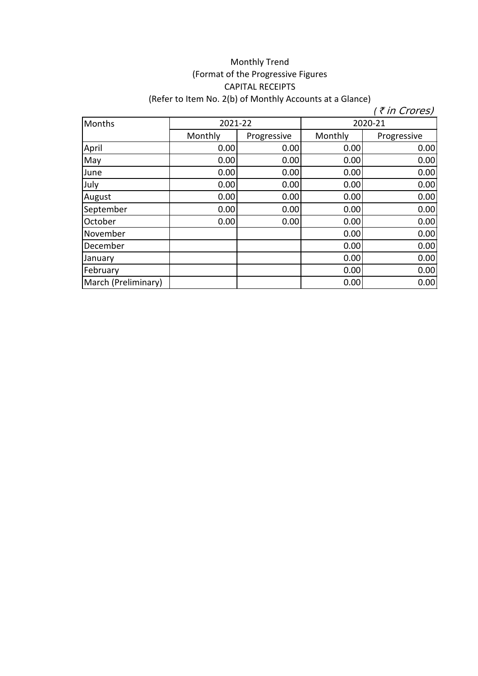## Monthly Trend (Format of the Progressive Figures CAPITAL RECEIPTS (Refer to Item No. 2(b) of Monthly Accounts at a Glance)

| Months              |         | 2021-22<br>2020-21 |         |             |
|---------------------|---------|--------------------|---------|-------------|
|                     | Monthly | Progressive        | Monthly | Progressive |
| April               | 0.00    | 0.00               | 0.00    | 0.00        |
| May                 | 0.00    | 0.00               | 0.00    | 0.00        |
| June                | 0.00    | 0.00               | 0.00    | 0.00        |
| July                | 0.00    | 0.00               | 0.00    | 0.00        |
| August              | 0.00    | 0.00               | 0.00    | 0.00        |
| September           | 0.00    | 0.00               | 0.00    | 0.00        |
| October             | 0.00    | 0.00               | 0.00    | 0.00        |
| November            |         |                    | 0.00    | 0.00        |
| December            |         |                    | 0.00    | 0.00        |
| January             |         |                    | 0.00    | 0.00        |
| February            |         |                    | 0.00    | 0.00        |
| March (Preliminary) |         |                    | 0.00    | 0.00        |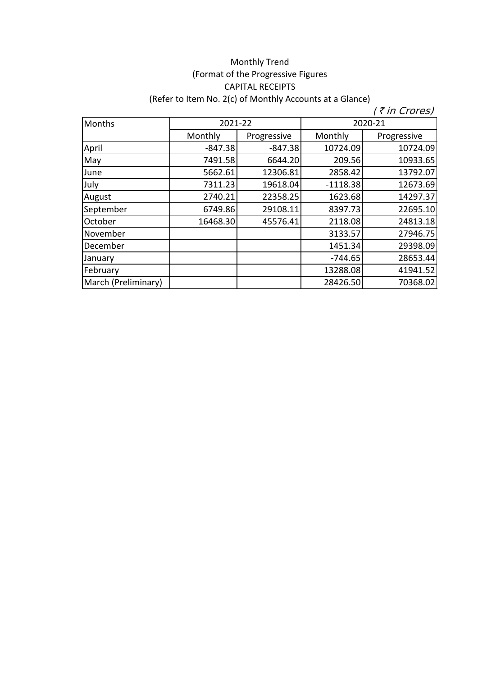## Monthly Trend (Format of the Progressive Figures CAPITAL RECEIPTS (Refer to Item No. 2(c) of Monthly Accounts at a Glance)

| Months              | 2021-22   |             | 2020-21    |             |
|---------------------|-----------|-------------|------------|-------------|
|                     | Monthly   | Progressive | Monthly    | Progressive |
| April               | $-847.38$ | $-847.38$   | 10724.09   | 10724.09    |
| May                 | 7491.58   | 6644.20     | 209.56     | 10933.65    |
| June                | 5662.61   | 12306.81    | 2858.42    | 13792.07    |
| July                | 7311.23   | 19618.04    | $-1118.38$ | 12673.69    |
| August              | 2740.21   | 22358.25    | 1623.68    | 14297.37    |
| September           | 6749.86   | 29108.11    | 8397.73    | 22695.10    |
| October             | 16468.30  | 45576.41    | 2118.08    | 24813.18    |
| November            |           |             | 3133.57    | 27946.75    |
| December            |           |             | 1451.34    | 29398.09    |
| January             |           |             | $-744.65$  | 28653.44    |
| February            |           |             | 13288.08   | 41941.52    |
| March (Preliminary) |           |             | 28426.50   | 70368.02    |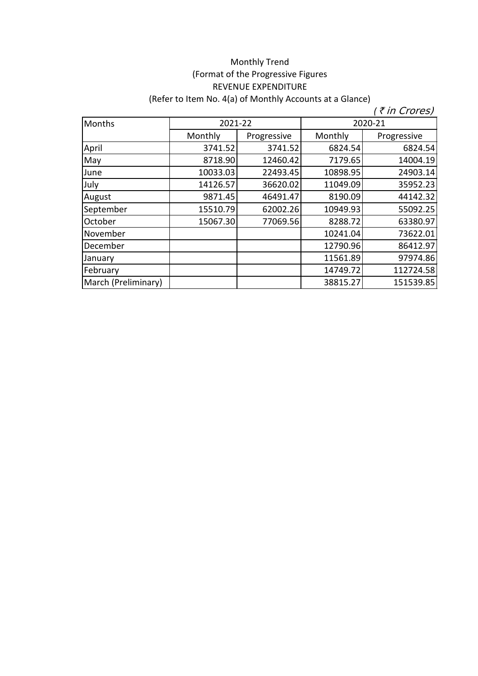## Monthly Trend (Format of the Progressive Figures REVENUE EXPENDITURE (Refer to Item No. 4(a) of Monthly Accounts at a Glance)

| Months              | 2021-22  |             | 2020-21  |             |
|---------------------|----------|-------------|----------|-------------|
|                     | Monthly  | Progressive | Monthly  | Progressive |
| April               | 3741.52  | 3741.52     | 6824.54  | 6824.54     |
| May                 | 8718.90  | 12460.42    | 7179.65  | 14004.19    |
| June                | 10033.03 | 22493.45    | 10898.95 | 24903.14    |
| July                | 14126.57 | 36620.02    | 11049.09 | 35952.23    |
| August              | 9871.45  | 46491.47    | 8190.09  | 44142.32    |
| September           | 15510.79 | 62002.26    | 10949.93 | 55092.25    |
| October             | 15067.30 | 77069.56    | 8288.72  | 63380.97    |
| November            |          |             | 10241.04 | 73622.01    |
| December            |          |             | 12790.96 | 86412.97    |
| January             |          |             | 11561.89 | 97974.86    |
| February            |          |             | 14749.72 | 112724.58   |
| March (Preliminary) |          |             | 38815.27 | 151539.85   |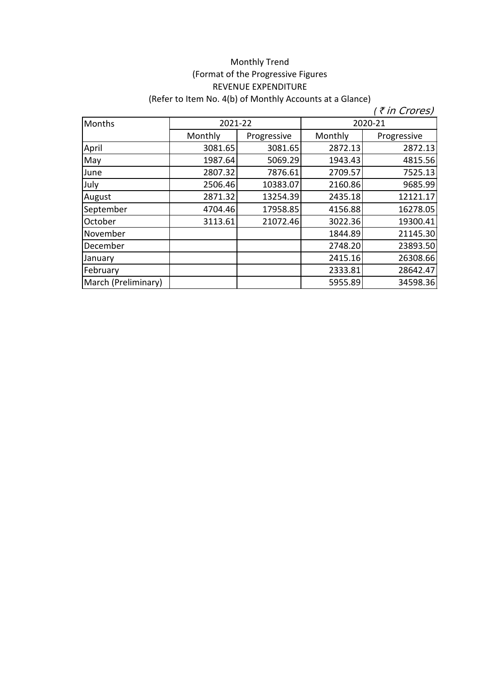## Monthly Trend (Format of the Progressive Figures REVENUE EXPENDITURE (Refer to Item No. 4(b) of Monthly Accounts at a Glance)

| Months              | 2021-22 |             | 2020-21 |             |
|---------------------|---------|-------------|---------|-------------|
|                     | Monthly | Progressive | Monthly | Progressive |
| April               | 3081.65 | 3081.65     | 2872.13 | 2872.13     |
| May                 | 1987.64 | 5069.29     | 1943.43 | 4815.56     |
| June                | 2807.32 | 7876.61     | 2709.57 | 7525.13     |
| July                | 2506.46 | 10383.07    | 2160.86 | 9685.99     |
| August              | 2871.32 | 13254.39    | 2435.18 | 12121.17    |
| September           | 4704.46 | 17958.85    | 4156.88 | 16278.05    |
| October             | 3113.61 | 21072.46    | 3022.36 | 19300.41    |
| November            |         |             | 1844.89 | 21145.30    |
| December            |         |             | 2748.20 | 23893.50    |
| January             |         |             | 2415.16 | 26308.66    |
| February            |         |             | 2333.81 | 28642.47    |
| March (Preliminary) |         |             | 5955.89 | 34598.36    |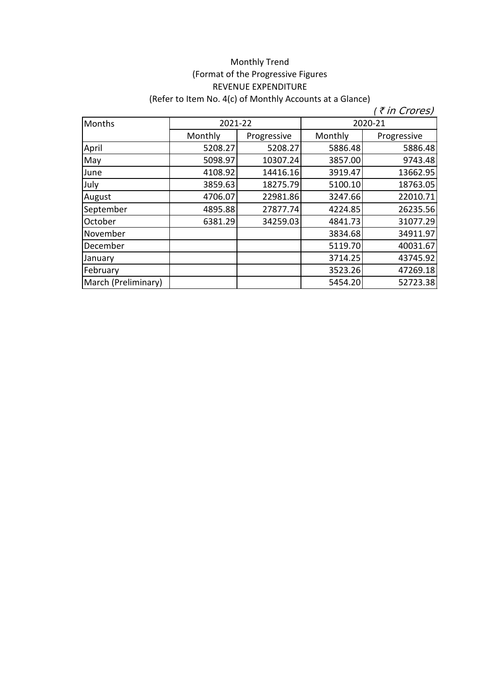## Monthly Trend (Format of the Progressive Figures REVENUE EXPENDITURE (Refer to Item No. 4(c) of Monthly Accounts at a Glance)

| Months              | 2021-22 |             | 2020-21 |             |
|---------------------|---------|-------------|---------|-------------|
|                     | Monthly | Progressive | Monthly | Progressive |
| April               | 5208.27 | 5208.27     | 5886.48 | 5886.48     |
| May                 | 5098.97 | 10307.24    | 3857.00 | 9743.48     |
| June                | 4108.92 | 14416.16    | 3919.47 | 13662.95    |
| July                | 3859.63 | 18275.79    | 5100.10 | 18763.05    |
| August              | 4706.07 | 22981.86    | 3247.66 | 22010.71    |
| September           | 4895.88 | 27877.74    | 4224.85 | 26235.56    |
| October             | 6381.29 | 34259.03    | 4841.73 | 31077.29    |
| November            |         |             | 3834.68 | 34911.97    |
| December            |         |             | 5119.70 | 40031.67    |
| January             |         |             | 3714.25 | 43745.92    |
| February            |         |             | 3523.26 | 47269.18    |
| March (Preliminary) |         |             | 5454.20 | 52723.38    |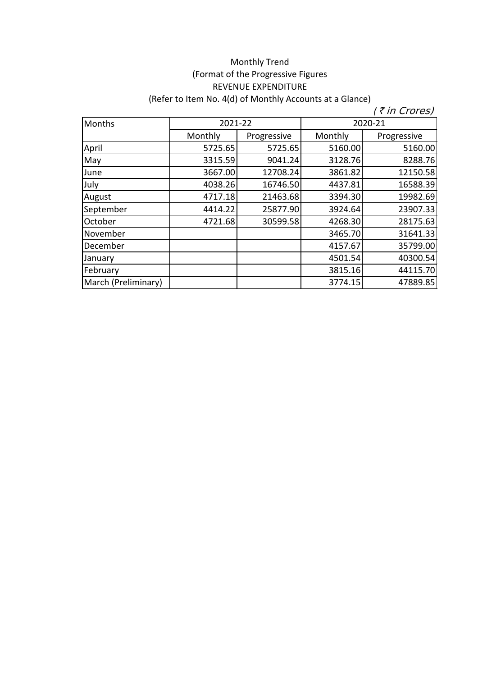# Monthly Trend (Format of the Progressive Figures REVENUE EXPENDITURE (Refer to Item No. 4(d) of Monthly Accounts at a Glance)

| <b>Months</b>       | 2021-22 |             | 2020-21 |             |
|---------------------|---------|-------------|---------|-------------|
|                     | Monthly | Progressive | Monthly | Progressive |
| April               | 5725.65 | 5725.65     | 5160.00 | 5160.00     |
| May                 | 3315.59 | 9041.24     | 3128.76 | 8288.76     |
| June                | 3667.00 | 12708.24    | 3861.82 | 12150.58    |
| July                | 4038.26 | 16746.50    | 4437.81 | 16588.39    |
| August              | 4717.18 | 21463.68    | 3394.30 | 19982.69    |
| September           | 4414.22 | 25877.90    | 3924.64 | 23907.33    |
| October             | 4721.68 | 30599.58    | 4268.30 | 28175.63    |
| November            |         |             | 3465.70 | 31641.33    |
| December            |         |             | 4157.67 | 35799.00    |
| January             |         |             | 4501.54 | 40300.54    |
| February            |         |             | 3815.16 | 44115.70    |
| March (Preliminary) |         |             | 3774.15 | 47889.85    |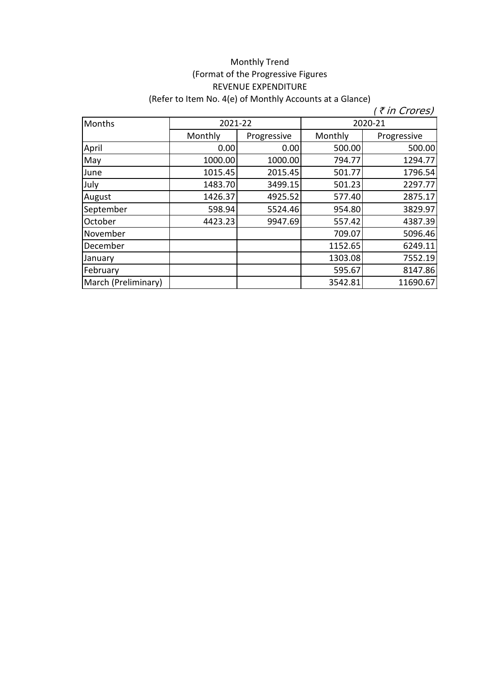## Monthly Trend (Format of the Progressive Figures REVENUE EXPENDITURE (Refer to Item No. 4(e) of Monthly Accounts at a Glance)

| Months              | 2021-22 |             | 2020-21 |             |
|---------------------|---------|-------------|---------|-------------|
|                     | Monthly | Progressive | Monthly | Progressive |
| April               | 0.00    | 0.00        | 500.00  | 500.00      |
| May                 | 1000.00 | 1000.00     | 794.77  | 1294.77     |
| June                | 1015.45 | 2015.45     | 501.77  | 1796.54     |
| July                | 1483.70 | 3499.15     | 501.23  | 2297.77     |
| August              | 1426.37 | 4925.52     | 577.40  | 2875.17     |
| September           | 598.94  | 5524.46     | 954.80  | 3829.97     |
| October             | 4423.23 | 9947.69     | 557.42  | 4387.39     |
| November            |         |             | 709.07  | 5096.46     |
| December            |         |             | 1152.65 | 6249.11     |
| January             |         |             | 1303.08 | 7552.19     |
| February            |         |             | 595.67  | 8147.86     |
| March (Preliminary) |         |             | 3542.81 | 11690.67    |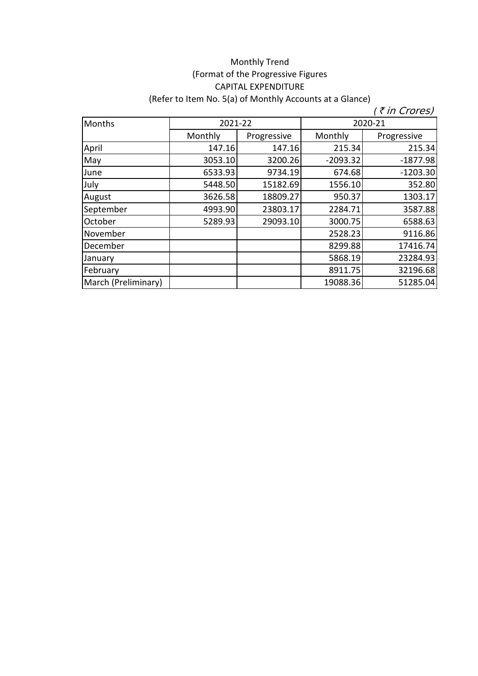## Monthly Trend (Format of the Progressive Figures CAPITAL EXPENDITURE (Refer to Item No. 5(a) of Monthly Accounts at a Glance)

| Months              | 2021-22 |             | 2020-21    |             |
|---------------------|---------|-------------|------------|-------------|
|                     | Monthly | Progressive | Monthly    | Progressive |
| April               | 147.16  | 147.16      | 215.34     | 215.34      |
| May                 | 3053.10 | 3200.26     | $-2093.32$ | $-1877.98$  |
| June                | 6533.93 | 9734.19     | 674.68     | $-1203.30$  |
| July                | 5448.50 | 15182.69    | 1556.10    | 352.80      |
| August              | 3626.58 | 18809.27    | 950.37     | 1303.17     |
| September           | 4993.90 | 23803.17    | 2284.71    | 3587.88     |
| October             | 5289.93 | 29093.10    | 3000.75    | 6588.63     |
| November            |         |             | 2528.23    | 9116.86     |
| December            |         |             | 8299.88    | 17416.74    |
| January             |         |             | 5868.19    | 23284.93    |
| February            |         |             | 8911.75    | 32196.68    |
| March (Preliminary) |         |             | 19088.36   | 51285.04    |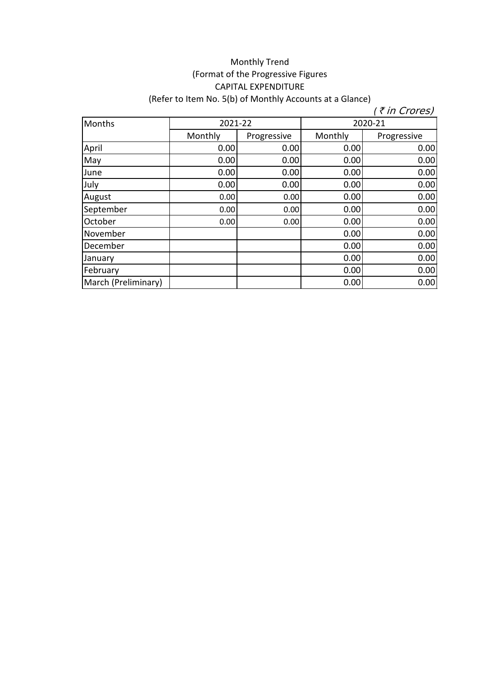## Monthly Trend (Format of the Progressive Figures CAPITAL EXPENDITURE (Refer to Item No. 5(b) of Monthly Accounts at a Glance)

| Months              | 2021-22 |             | 2020-21 |             |
|---------------------|---------|-------------|---------|-------------|
|                     | Monthly | Progressive | Monthly | Progressive |
| April               | 0.00    | 0.00        | 0.00    | 0.00        |
| May                 | 0.00    | 0.00        | 0.00    | 0.00        |
| June                | 0.00    | 0.00        | 0.00    | 0.00        |
| July                | 0.00    | 0.00        | 0.00    | 0.00        |
| August              | 0.00    | 0.00        | 0.00    | 0.00        |
| September           | 0.00    | 0.00        | 0.00    | 0.00        |
| October             | 0.00    | 0.00        | 0.00    | 0.00        |
| November            |         |             | 0.00    | 0.00        |
| December            |         |             | 0.00    | 0.00        |
| January             |         |             | 0.00    | 0.00        |
| February            |         |             | 0.00    | 0.00        |
| March (Preliminary) |         |             | 0.00    | 0.00        |